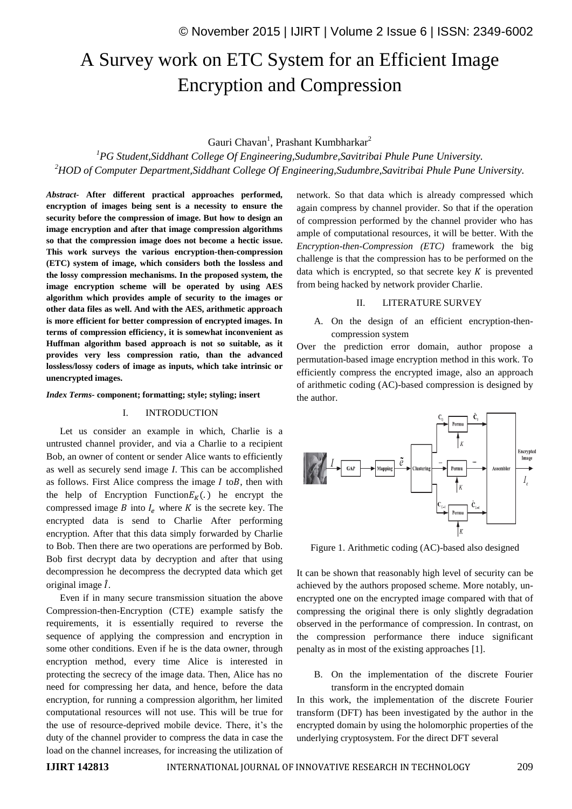# A Survey work on ETC System for an Efficient Image Encryption and Compression

## Gauri Chavan<sup>1</sup>, Prashant Kumbharkar<sup>2</sup>

*<sup>1</sup>PG Student,Siddhant College Of Engineering,Sudumbre,Savitribai Phule Pune University. <sup>2</sup>HOD of Computer Department,Siddhant College Of Engineering,Sudumbre,Savitribai Phule Pune University.*

*Abstract-* **After different practical approaches performed, encryption of images being sent is a necessity to ensure the security before the compression of image. But how to design an image encryption and after that image compression algorithms so that the compression image does not become a hectic issue. This work surveys the various encryption-then-compression (ETC) system of image, which considers both the lossless and the lossy compression mechanisms. In the proposed system, the image encryption scheme will be operated by using AES algorithm which provides ample of security to the images or other data files as well. And with the AES, arithmetic approach is more efficient for better compression of encrypted images. In terms of compression efficiency, it is somewhat inconvenient as Huffman algorithm based approach is not so suitable, as it provides very less compression ratio, than the advanced lossless/lossy coders of image as inputs, which take intrinsic or unencrypted images.**

#### *Index Terms-* **component; formatting; style; styling; insert**

#### I. INTRODUCTION

Let us consider an example in which, Charlie is a untrusted channel provider, and via a Charlie to a recipient Bob, an owner of content or sender Alice wants to efficiently as well as securely send image *I*. This can be accomplished as follows. First Alice compress the image  $I$  to  $B$ , then with the help of Encryption Function  $E_K(.)$  he encrypt the compressed image B into  $I_e$  where K is the secrete key. The encrypted data is send to Charlie After performing encryption. After that this data simply forwarded by Charlie to Bob. Then there are two operations are performed by Bob. Bob first decrypt data by decryption and after that using decompression he decompress the decrypted data which get original image  $\hat{I}$ .

Even if in many secure transmission situation the above Compression-then-Encryption (CTE) example satisfy the requirements, it is essentially required to reverse the sequence of applying the compression and encryption in some other conditions. Even if he is the data owner, through encryption method, every time Alice is interested in protecting the secrecy of the image data. Then, Alice has no need for compressing her data, and hence, before the data encryption, for running a compression algorithm, her limited computational resources will not use. This will be true for the use of resource-deprived mobile device. There, it's the duty of the channel provider to compress the data in case the load on the channel increases, for increasing the utilization of network. So that data which is already compressed which again compress by channel provider. So that if the operation of compression performed by the channel provider who has ample of computational resources, it will be better. With the *Encryption-then-Compression (ETC)* framework the big challenge is that the compression has to be performed on the data which is encrypted, so that secrete key  $K$  is prevented from being hacked by network provider Charlie.

## II. LITERATURE SURVEY

A. On the design of an efficient encryption-thencompression system

Over the prediction error domain, author propose a permutation-based image encryption method in this work. To efficiently compress the encrypted image, also an approach of arithmetic coding (AC)-based compression is designed by the author.



Figure 1. Arithmetic coding (AC)-based also designed

It can be shown that reasonably high level of security can be achieved by the authors proposed scheme. More notably, unencrypted one on the encrypted image compared with that of compressing the original there is only slightly degradation observed in the performance of compression. In contrast, on the compression performance there induce significant penalty as in most of the existing approaches [1].

B. On the implementation of the discrete Fourier transform in the encrypted domain

In this work, the implementation of the discrete Fourier transform (DFT) has been investigated by the author in the encrypted domain by using the holomorphic properties of the underlying cryptosystem. For the direct DFT several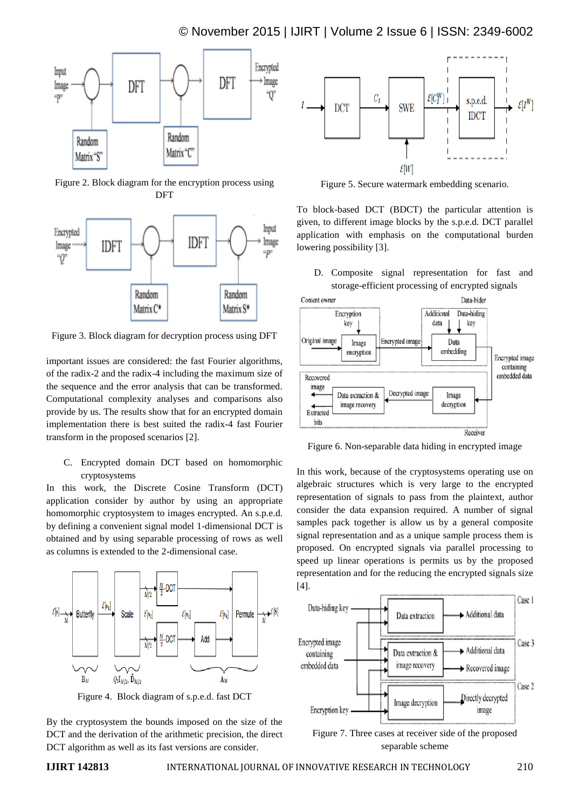

Figure 2. Block diagram for the encryption process using **DFT** 



Figure 3. Block diagram for decryption process using DFT

important issues are considered: the fast Fourier algorithms, of the radix-2 and the radix-4 including the maximum size of the sequence and the error analysis that can be transformed. Computational complexity analyses and comparisons also provide by us. The results show that for an encrypted domain implementation there is best suited the radix-4 fast Fourier transform in the proposed scenarios [2].

C. Encrypted domain DCT based on homomorphic cryptosystems

In this work, the Discrete Cosine Transform (DCT) application consider by author by using an appropriate homomorphic cryptosystem to images encrypted. An s.p.e.d. by defining a convenient signal model 1-dimensional DCT is obtained and by using separable processing of rows as well as columns is extended to the 2-dimensional case.



Figure 4. Block diagram of s.p.e.d. fast DCT

By the cryptosystem the bounds imposed on the size of the DCT and the derivation of the arithmetic precision, the direct DCT algorithm as well as its fast versions are consider.



Figure 5. Secure watermark embedding scenario.

To block-based DCT (BDCT) the particular attention is given, to different image blocks by the s.p.e.d. DCT parallel application with emphasis on the computational burden lowering possibility [3].

D. Composite signal representation for fast and storage-efficient processing of encrypted signals



Figure 6. Non-separable data hiding in encrypted image

In this work, because of the cryptosystems operating use on algebraic structures which is very large to the encrypted representation of signals to pass from the plaintext, author consider the data expansion required. A number of signal samples pack together is allow us by a general composite signal representation and as a unique sample process them is proposed. On encrypted signals via parallel processing to speed up linear operations is permits us by the proposed representation and for the reducing the encrypted signals size [4].



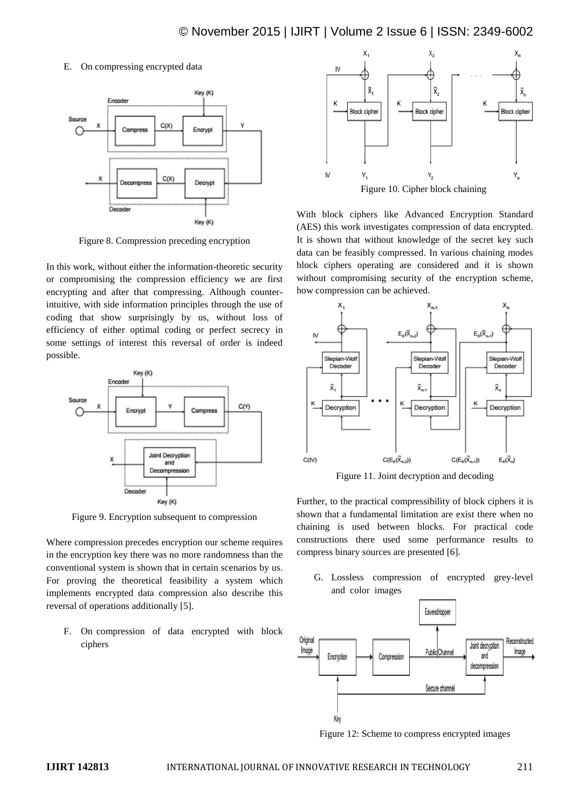## E. On compressing encrypted data



Figure 8. Compression preceding encryption

In this work, without either the information-theoretic security or compromising the compression efficiency we are first encrypting and after that compressing. Although counterintuitive, with side information principles through the use of coding that show surprisingly by us, without loss of efficiency of either optimal coding or perfect secrecy in some settings of interest this reversal of order is indeed possible.



Figure 9. Encryption subsequent to compression

Where compression precedes encryption our scheme requires in the encryption key there was no more randomness than the conventional system is shown that in certain scenarios by us. For proving the theoretical feasibility a system which implements encrypted data compression also describe this reversal of operations additionally [5].

F. On compression of data encrypted with block ciphers



With block ciphers like Advanced Encryption Standard (AES) this work investigates compression of data encrypted. It is shown that without knowledge of the secret key such data can be feasibly compressed. In various chaining modes block ciphers operating are considered and it is shown without compromising security of the encryption scheme, how compression can be achieved.



Figure 11. Joint decryption and decoding

Further, to the practical compressibility of block ciphers it is shown that a fundamental limitation are exist there when no chaining is used between blocks. For practical code constructions there used some performance results to compress binary sources are presented [6].

G. Lossless compression of encrypted grey-level and color images



Figure 12: Scheme to compress encrypted images